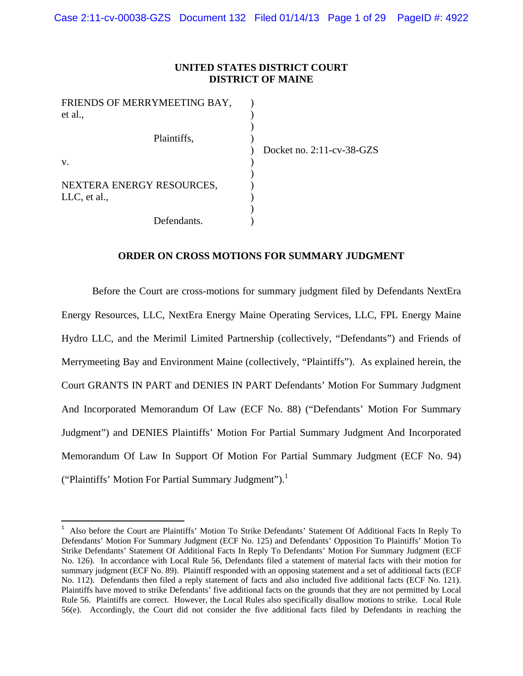# **UNITED STATES DISTRICT COURT DISTRICT OF MAINE**

| FRIENDS OF MERRYMEETING BAY, |                              |
|------------------------------|------------------------------|
| et al.,                      |                              |
|                              |                              |
| Plaintiffs,                  |                              |
|                              | Docket no. $2:11$ -cv-38-GZS |
| V.                           |                              |
|                              |                              |
| NEXTERA ENERGY RESOURCES,    |                              |
| LLC, et al.,                 |                              |
|                              |                              |
| Defendants.                  |                              |

# **ORDER ON CROSS MOTIONS FOR SUMMARY JUDGMENT**

Before the Court are cross-motions for summary judgment filed by Defendants NextEra Energy Resources, LLC, NextEra Energy Maine Operating Services, LLC, FPL Energy Maine Hydro LLC, and the Merimil Limited Partnership (collectively, "Defendants") and Friends of Merrymeeting Bay and Environment Maine (collectively, "Plaintiffs"). As explained herein, the Court GRANTS IN PART and DENIES IN PART Defendants' Motion For Summary Judgment And Incorporated Memorandum Of Law (ECF No. 88) ("Defendants' Motion For Summary Judgment") and DENIES Plaintiffs' Motion For Partial Summary Judgment And Incorporated Memorandum Of Law In Support Of Motion For Partial Summary Judgment (ECF No. 94) ("Plaintiffs' Motion For Partial Summary Judgment").<sup>1</sup>

<sup>1</sup> Also before the Court are Plaintiffs' Motion To Strike Defendants' Statement Of Additional Facts In Reply To Defendants' Motion For Summary Judgment (ECF No. 125) and Defendants' Opposition To Plaintiffs' Motion To Strike Defendants' Statement Of Additional Facts In Reply To Defendants' Motion For Summary Judgment (ECF No. 126). In accordance with Local Rule 56, Defendants filed a statement of material facts with their motion for summary judgment (ECF No. 89). Plaintiff responded with an opposing statement and a set of additional facts (ECF No. 112). Defendants then filed a reply statement of facts and also included five additional facts (ECF No. 121). Plaintiffs have moved to strike Defendants' five additional facts on the grounds that they are not permitted by Local Rule 56. Plaintiffs are correct. However, the Local Rules also specifically disallow motions to strike. Local Rule 56(e). Accordingly, the Court did not consider the five additional facts filed by Defendants in reaching the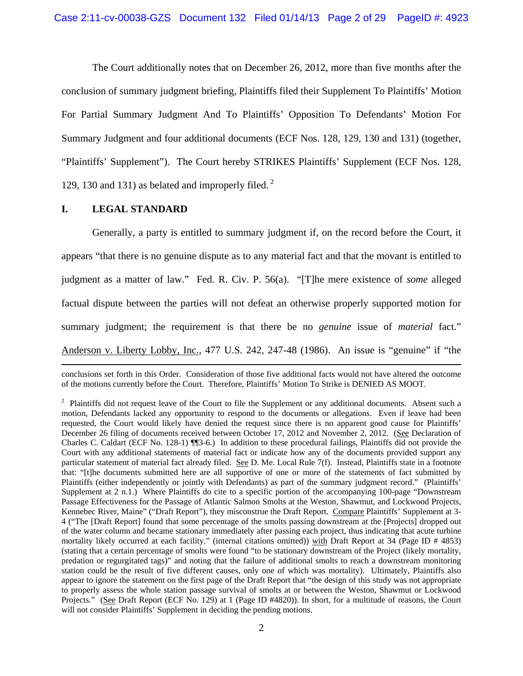The Court additionally notes that on December 26, 2012, more than five months after the conclusion of summary judgment briefing, Plaintiffs filed their Supplement To Plaintiffs' Motion For Partial Summary Judgment And To Plaintiffs' Opposition To Defendants' Motion For Summary Judgment and four additional documents (ECF Nos. 128, 129, 130 and 131) (together, "Plaintiffs' Supplement"). The Court hereby STRIKES Plaintiffs' Supplement (ECF Nos. 128, 129, 130 and 131) as belated and improperly filed.<sup>2</sup>

### **I. LEGAL STANDARD**

 Generally, a party is entitled to summary judgment if, on the record before the Court, it appears "that there is no genuine dispute as to any material fact and that the movant is entitled to judgment as a matter of law." Fed. R. Civ. P. 56(a). "[T]he mere existence of *some* alleged factual dispute between the parties will not defeat an otherwise properly supported motion for summary judgment; the requirement is that there be no *genuine* issue of *material* fact." Anderson v. Liberty Lobby, Inc., 477 U.S. 242, 247-48 (1986). An issue is "genuine" if "the

<u> 1989 - Johann Stein, marwolaethau a gweledydd a ganrad y ganrad y ganrad y ganrad y ganrad y ganrad y ganrad</u> conclusions set forth in this Order. Consideration of those five additional facts would not have altered the outcome of the motions currently before the Court. Therefore, Plaintiffs' Motion To Strike is DENIED AS MOOT.

<sup>&</sup>lt;sup>2</sup> Plaintiffs did not request leave of the Court to file the Supplement or any additional documents. Absent such a motion, Defendants lacked any opportunity to respond to the documents or allegations. Even if leave had been requested, the Court would likely have denied the request since there is no apparent good cause for Plaintiffs' December 26 filing of documents received between October 17, 2012 and November 2, 2012. (See Declaration of Charles C. Caldart (ECF No. 128-1) ¶¶3-6.) In addition to these procedural failings, Plaintiffs did not provide the Court with any additional statements of material fact or indicate how any of the documents provided support any particular statement of material fact already filed. See D. Me. Local Rule 7(f). Instead, Plaintiffs state in a footnote that: "[t]he documents submitted here are all supportive of one or more of the statements of fact submitted by Plaintiffs (either independently or jointly with Defendants) as part of the summary judgment record." (Plaintiffs' Supplement at 2 n.1.) Where Plaintiffs do cite to a specific portion of the accompanying 100-page "Downstream Passage Effectiveness for the Passage of Atlantic Salmon Smolts at the Weston, Shawmut, and Lockwood Projects, Kennebec River, Maine" ("Draft Report"), they misconstrue the Draft Report. Compare Plaintiffs' Supplement at 3- 4 ("The [Draft Report] found that some percentage of the smolts passing downstream at the [Projects] dropped out of the water column and became stationary immediately after passing each project, thus indicating that acute turbine mortality likely occurred at each facility." (internal citations omitted)) with Draft Report at 34 (Page ID # 4853) (stating that a certain percentage of smolts were found "to be stationary downstream of the Project (likely mortality, predation or regurgitated tags)" and noting that the failure of additional smolts to reach a downstream monitoring station could be the result of five different causes, only one of which was mortality). Ultimately, Plaintiffs also appear to ignore the statement on the first page of the Draft Report that "the design of this study was not appropriate to properly assess the whole station passage survival of smolts at or between the Weston, Shawmut or Lockwood Projects." (See Draft Report (ECF No. 129) at 1 (Page ID #4820)). In short, for a multitude of reasons, the Court will not consider Plaintiffs' Supplement in deciding the pending motions.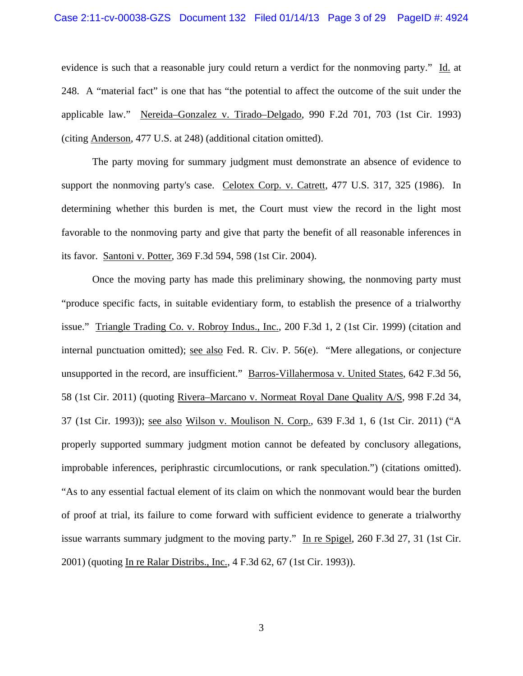### Case 2:11-cv-00038-GZS Document 132 Filed 01/14/13 Page 3 of 29 PageID #: 4924

evidence is such that a reasonable jury could return a verdict for the nonmoving party." Id. at 248. A "material fact" is one that has "the potential to affect the outcome of the suit under the applicable law." Nereida–Gonzalez v. Tirado–Delgado, 990 F.2d 701, 703 (1st Cir. 1993) (citing Anderson*,* 477 U.S. at 248) (additional citation omitted).

 The party moving for summary judgment must demonstrate an absence of evidence to support the nonmoving party's case. Celotex Corp. v. Catrett*,* 477 U.S. 317, 325 (1986). In determining whether this burden is met, the Court must view the record in the light most favorable to the nonmoving party and give that party the benefit of all reasonable inferences in its favor. Santoni v. Potter, 369 F.3d 594, 598 (1st Cir. 2004).

 Once the moving party has made this preliminary showing, the nonmoving party must "produce specific facts, in suitable evidentiary form, to establish the presence of a trialworthy issue." Triangle Trading Co. v. Robroy Indus., Inc., 200 F.3d 1, 2 (1st Cir. 1999) (citation and internal punctuation omitted); see also Fed. R. Civ. P. 56(e). "Mere allegations, or conjecture unsupported in the record, are insufficient." Barros-Villahermosa v. United States, 642 F.3d 56, 58 (1st Cir. 2011) (quoting Rivera–Marcano v. Normeat Royal Dane Quality A/S, 998 F.2d 34, 37 (1st Cir. 1993)); see also Wilson v. Moulison N. Corp., 639 F.3d 1, 6 (1st Cir. 2011) ("A properly supported summary judgment motion cannot be defeated by conclusory allegations, improbable inferences, periphrastic circumlocutions, or rank speculation.") (citations omitted). "As to any essential factual element of its claim on which the nonmovant would bear the burden of proof at trial, its failure to come forward with sufficient evidence to generate a trialworthy issue warrants summary judgment to the moving party." In re Spigel, 260 F.3d 27, 31 (1st Cir. 2001) (quoting In re Ralar Distribs., Inc., 4 F.3d 62, 67 (1st Cir. 1993)).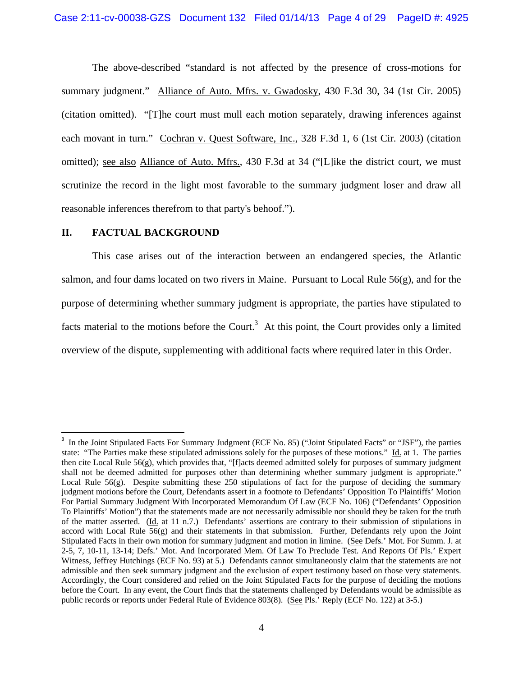The above-described "standard is not affected by the presence of cross-motions for summary judgment." Alliance of Auto. Mfrs. v. Gwadosky, 430 F.3d 30, 34 (1st Cir. 2005) (citation omitted). "[T]he court must mull each motion separately, drawing inferences against each movant in turn." Cochran v. Quest Software, Inc., 328 F.3d 1, 6 (1st Cir. 2003) (citation omitted); see also Alliance of Auto. Mfrs., 430 F.3d at 34 ("[L]ike the district court, we must scrutinize the record in the light most favorable to the summary judgment loser and draw all reasonable inferences therefrom to that party's behoof.").

### **II. FACTUAL BACKGROUND**

 This case arises out of the interaction between an endangered species, the Atlantic salmon, and four dams located on two rivers in Maine. Pursuant to Local Rule  $56(g)$ , and for the purpose of determining whether summary judgment is appropriate, the parties have stipulated to facts material to the motions before the Court.<sup>3</sup> At this point, the Court provides only a limited overview of the dispute, supplementing with additional facts where required later in this Order.

<sup>&</sup>lt;sup>3</sup> In the Joint Stipulated Facts For Summary Judgment (ECF No. 85) ("Joint Stipulated Facts" or "JSF"), the parties state: "The Parties make these stipulated admissions solely for the purposes of these motions." Id. at 1. The parties then cite Local Rule  $56(g)$ , which provides that, "[f]acts deemed admitted solely for purposes of summary judgment shall not be deemed admitted for purposes other than determining whether summary judgment is appropriate." Local Rule  $56(g)$ . Despite submitting these 250 stipulations of fact for the purpose of deciding the summary judgment motions before the Court, Defendants assert in a footnote to Defendants' Opposition To Plaintiffs' Motion For Partial Summary Judgment With Incorporated Memorandum Of Law (ECF No. 106) ("Defendants' Opposition To Plaintiffs' Motion") that the statements made are not necessarily admissible nor should they be taken for the truth of the matter asserted. ( $\underline{Id}$ , at 11 n.7.) Defendants' assertions are contrary to their submission of stipulations in accord with Local Rule 56(g) and their statements in that submission. Further, Defendants rely upon the Joint Stipulated Facts in their own motion for summary judgment and motion in limine. (See Defs.' Mot. For Summ. J. at 2-5, 7, 10-11, 13-14; Defs.' Mot. And Incorporated Mem. Of Law To Preclude Test. And Reports Of Pls.' Expert Witness, Jeffrey Hutchings (ECF No. 93) at 5.) Defendants cannot simultaneously claim that the statements are not admissible and then seek summary judgment and the exclusion of expert testimony based on those very statements. Accordingly, the Court considered and relied on the Joint Stipulated Facts for the purpose of deciding the motions before the Court. In any event, the Court finds that the statements challenged by Defendants would be admissible as public records or reports under Federal Rule of Evidence 803(8). (See Pls.' Reply (ECF No. 122) at 3-5.)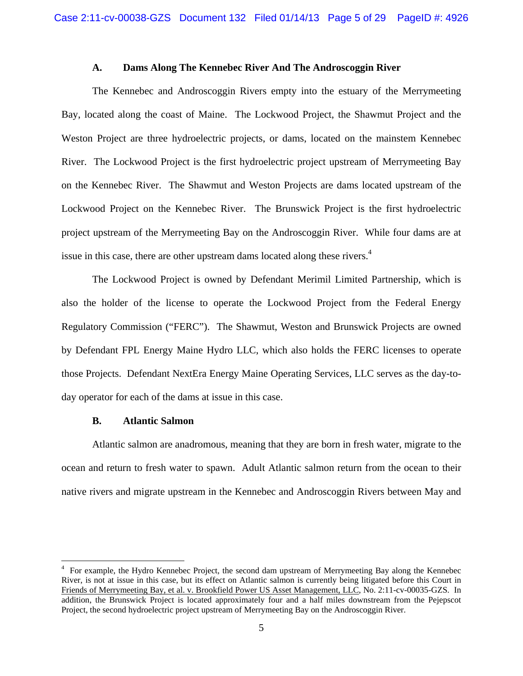### **A. Dams Along The Kennebec River And The Androscoggin River**

 The Kennebec and Androscoggin Rivers empty into the estuary of the Merrymeeting Bay, located along the coast of Maine. The Lockwood Project, the Shawmut Project and the Weston Project are three hydroelectric projects, or dams, located on the mainstem Kennebec River. The Lockwood Project is the first hydroelectric project upstream of Merrymeeting Bay on the Kennebec River. The Shawmut and Weston Projects are dams located upstream of the Lockwood Project on the Kennebec River. The Brunswick Project is the first hydroelectric project upstream of the Merrymeeting Bay on the Androscoggin River. While four dams are at issue in this case, there are other upstream dams located along these rivers.<sup>4</sup>

 The Lockwood Project is owned by Defendant Merimil Limited Partnership, which is also the holder of the license to operate the Lockwood Project from the Federal Energy Regulatory Commission ("FERC"). The Shawmut, Weston and Brunswick Projects are owned by Defendant FPL Energy Maine Hydro LLC, which also holds the FERC licenses to operate those Projects. Defendant NextEra Energy Maine Operating Services, LLC serves as the day-today operator for each of the dams at issue in this case.

#### **B. Atlantic Salmon**

 Atlantic salmon are anadromous, meaning that they are born in fresh water, migrate to the ocean and return to fresh water to spawn. Adult Atlantic salmon return from the ocean to their native rivers and migrate upstream in the Kennebec and Androscoggin Rivers between May and

<sup>&</sup>lt;sup>4</sup> For example, the Hydro Kennebec Project, the second dam upstream of Merrymeeting Bay along the Kennebec River, is not at issue in this case, but its effect on Atlantic salmon is currently being litigated before this Court in Friends of Merrymeeting Bay, et al. v. Brookfield Power US Asset Management, LLC, No. 2:11-cv-00035-GZS. In addition, the Brunswick Project is located approximately four and a half miles downstream from the Pejepscot Project, the second hydroelectric project upstream of Merrymeeting Bay on the Androscoggin River.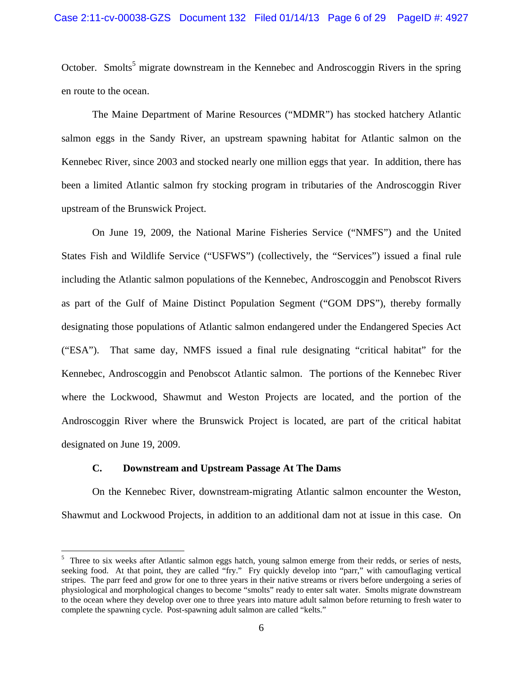October. Smolts<sup>5</sup> migrate downstream in the Kennebec and Androscoggin Rivers in the spring en route to the ocean.

 The Maine Department of Marine Resources ("MDMR") has stocked hatchery Atlantic salmon eggs in the Sandy River, an upstream spawning habitat for Atlantic salmon on the Kennebec River, since 2003 and stocked nearly one million eggs that year. In addition, there has been a limited Atlantic salmon fry stocking program in tributaries of the Androscoggin River upstream of the Brunswick Project.

 On June 19, 2009, the National Marine Fisheries Service ("NMFS") and the United States Fish and Wildlife Service ("USFWS") (collectively, the "Services") issued a final rule including the Atlantic salmon populations of the Kennebec, Androscoggin and Penobscot Rivers as part of the Gulf of Maine Distinct Population Segment ("GOM DPS"), thereby formally designating those populations of Atlantic salmon endangered under the Endangered Species Act ("ESA"). That same day, NMFS issued a final rule designating "critical habitat" for the Kennebec, Androscoggin and Penobscot Atlantic salmon. The portions of the Kennebec River where the Lockwood, Shawmut and Weston Projects are located, and the portion of the Androscoggin River where the Brunswick Project is located, are part of the critical habitat designated on June 19, 2009.

### **C. Downstream and Upstream Passage At The Dams**

 On the Kennebec River, downstream-migrating Atlantic salmon encounter the Weston, Shawmut and Lockwood Projects, in addition to an additional dam not at issue in this case. On

<sup>&</sup>lt;sup>5</sup> Three to six weeks after Atlantic salmon eggs hatch, young salmon emerge from their redds, or series of nests, seeking food. At that point, they are called "fry." Fry quickly develop into "parr," with camouflaging vertical stripes. The parr feed and grow for one to three years in their native streams or rivers before undergoing a series of physiological and morphological changes to become "smolts" ready to enter salt water. Smolts migrate downstream to the ocean where they develop over one to three years into mature adult salmon before returning to fresh water to complete the spawning cycle. Post-spawning adult salmon are called "kelts."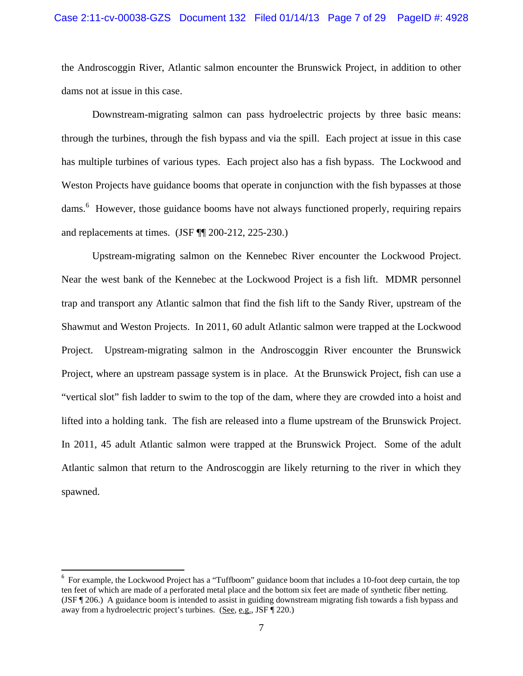### Case 2:11-cv-00038-GZS Document 132 Filed 01/14/13 Page 7 of 29 PageID #: 4928

the Androscoggin River, Atlantic salmon encounter the Brunswick Project, in addition to other dams not at issue in this case.

 Downstream-migrating salmon can pass hydroelectric projects by three basic means: through the turbines, through the fish bypass and via the spill. Each project at issue in this case has multiple turbines of various types. Each project also has a fish bypass. The Lockwood and Weston Projects have guidance booms that operate in conjunction with the fish bypasses at those dams.<sup>6</sup> However, those guidance booms have not always functioned properly, requiring repairs and replacements at times. (JSF ¶¶ 200-212, 225-230.)

 Upstream-migrating salmon on the Kennebec River encounter the Lockwood Project. Near the west bank of the Kennebec at the Lockwood Project is a fish lift. MDMR personnel trap and transport any Atlantic salmon that find the fish lift to the Sandy River, upstream of the Shawmut and Weston Projects. In 2011, 60 adult Atlantic salmon were trapped at the Lockwood Project. Upstream-migrating salmon in the Androscoggin River encounter the Brunswick Project, where an upstream passage system is in place. At the Brunswick Project, fish can use a "vertical slot" fish ladder to swim to the top of the dam, where they are crowded into a hoist and lifted into a holding tank. The fish are released into a flume upstream of the Brunswick Project. In 2011, 45 adult Atlantic salmon were trapped at the Brunswick Project. Some of the adult Atlantic salmon that return to the Androscoggin are likely returning to the river in which they spawned.

<sup>&</sup>lt;sup>6</sup> For example, the Lockwood Project has a "Tuffboom" guidance boom that includes a 10-foot deep curtain, the top ten feet of which are made of a perforated metal place and the bottom six feet are made of synthetic fiber netting. (JSF ¶ 206.) A guidance boom is intended to assist in guiding downstream migrating fish towards a fish bypass and away from a hydroelectric project's turbines. (See, e.g., JSF ¶ 220.)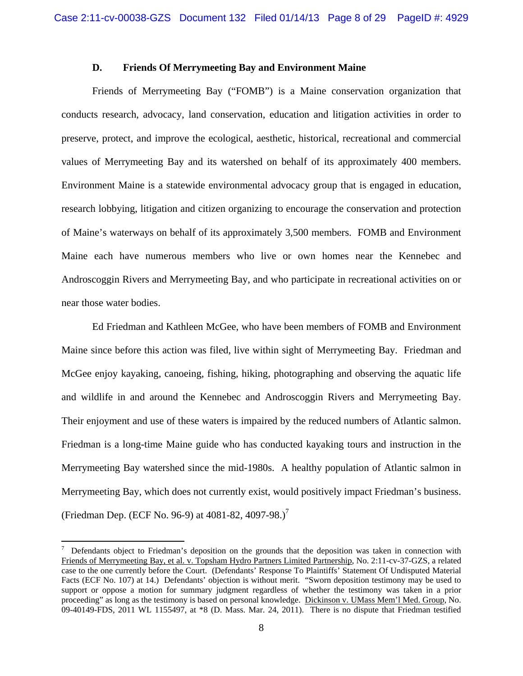### **D. Friends Of Merrymeeting Bay and Environment Maine**

 Friends of Merrymeeting Bay ("FOMB") is a Maine conservation organization that conducts research, advocacy, land conservation, education and litigation activities in order to preserve, protect, and improve the ecological, aesthetic, historical, recreational and commercial values of Merrymeeting Bay and its watershed on behalf of its approximately 400 members. Environment Maine is a statewide environmental advocacy group that is engaged in education, research lobbying, litigation and citizen organizing to encourage the conservation and protection of Maine's waterways on behalf of its approximately 3,500 members. FOMB and Environment Maine each have numerous members who live or own homes near the Kennebec and Androscoggin Rivers and Merrymeeting Bay, and who participate in recreational activities on or near those water bodies.

 Ed Friedman and Kathleen McGee, who have been members of FOMB and Environment Maine since before this action was filed, live within sight of Merrymeeting Bay. Friedman and McGee enjoy kayaking, canoeing, fishing, hiking, photographing and observing the aquatic life and wildlife in and around the Kennebec and Androscoggin Rivers and Merrymeeting Bay. Their enjoyment and use of these waters is impaired by the reduced numbers of Atlantic salmon. Friedman is a long-time Maine guide who has conducted kayaking tours and instruction in the Merrymeeting Bay watershed since the mid-1980s. A healthy population of Atlantic salmon in Merrymeeting Bay, which does not currently exist, would positively impact Friedman's business. (Friedman Dep. (ECF No. 96-9) at  $4081-82$ ,  $4097-98$ .)<sup>7</sup>

<sup>7</sup> Defendants object to Friedman's deposition on the grounds that the deposition was taken in connection with Friends of Merrymeeting Bay, et al. v. Topsham Hydro Partners Limited Partnership, No. 2:11-cv-37-GZS, a related case to the one currently before the Court. (Defendants' Response To Plaintiffs' Statement Of Undisputed Material Facts (ECF No. 107) at 14.) Defendants' objection is without merit. "Sworn deposition testimony may be used to support or oppose a motion for summary judgment regardless of whether the testimony was taken in a prior proceeding" as long as the testimony is based on personal knowledge. Dickinson v. UMass Mem'l Med. Group, No. 09-40149-FDS, 2011 WL 1155497, at \*8 (D. Mass. Mar. 24, 2011). There is no dispute that Friedman testified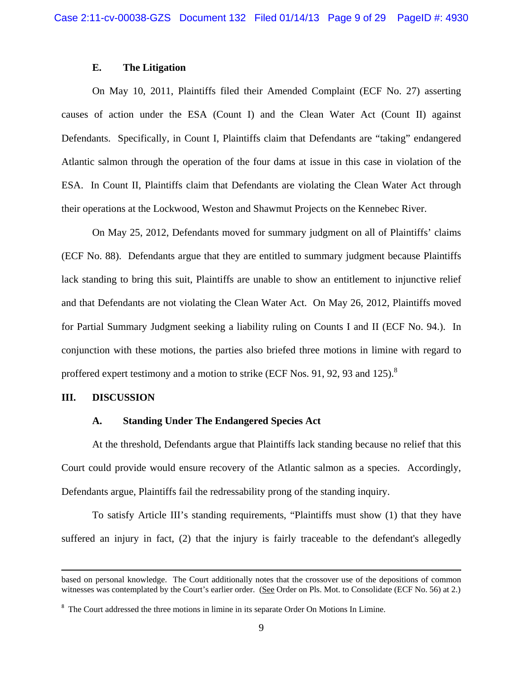# **E. The Litigation**

 On May 10, 2011, Plaintiffs filed their Amended Complaint (ECF No. 27) asserting causes of action under the ESA (Count I) and the Clean Water Act (Count II) against Defendants. Specifically, in Count I, Plaintiffs claim that Defendants are "taking" endangered Atlantic salmon through the operation of the four dams at issue in this case in violation of the ESA. In Count II, Plaintiffs claim that Defendants are violating the Clean Water Act through their operations at the Lockwood, Weston and Shawmut Projects on the Kennebec River.

 On May 25, 2012, Defendants moved for summary judgment on all of Plaintiffs' claims (ECF No. 88). Defendants argue that they are entitled to summary judgment because Plaintiffs lack standing to bring this suit, Plaintiffs are unable to show an entitlement to injunctive relief and that Defendants are not violating the Clean Water Act. On May 26, 2012, Plaintiffs moved for Partial Summary Judgment seeking a liability ruling on Counts I and II (ECF No. 94.). In conjunction with these motions, the parties also briefed three motions in limine with regard to proffered expert testimony and a motion to strike (ECF Nos. 91, 92, 93 and 125). $8$ 

#### **III. DISCUSSION**

### **A. Standing Under The Endangered Species Act**

 At the threshold, Defendants argue that Plaintiffs lack standing because no relief that this Court could provide would ensure recovery of the Atlantic salmon as a species. Accordingly, Defendants argue, Plaintiffs fail the redressability prong of the standing inquiry.

 To satisfy Article III's standing requirements, "Plaintiffs must show (1) that they have suffered an injury in fact, (2) that the injury is fairly traceable to the defendant's allegedly

<sup>&</sup>lt;u> 1989 - Johann Stein, marwolaethau a gweledydd a ganlad y ganlad y ganlad y ganlad y ganlad y ganlad y ganlad</u> based on personal knowledge. The Court additionally notes that the crossover use of the depositions of common witnesses was contemplated by the Court's earlier order. (See Order on Pls. Mot. to Consolidate (ECF No. 56) at 2.)

<sup>&</sup>lt;sup>8</sup> The Court addressed the three motions in limine in its separate Order On Motions In Limine.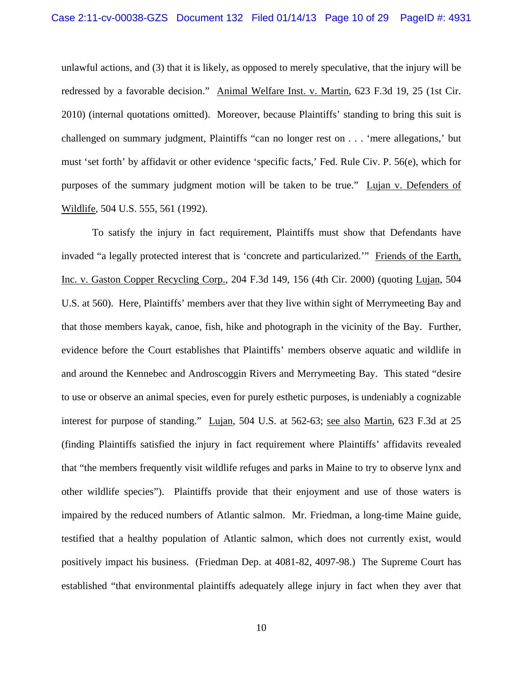unlawful actions, and (3) that it is likely, as opposed to merely speculative, that the injury will be redressed by a favorable decision." Animal Welfare Inst. v. Martin, 623 F.3d 19, 25 (1st Cir. 2010) (internal quotations omitted). Moreover, because Plaintiffs' standing to bring this suit is challenged on summary judgment, Plaintiffs "can no longer rest on . . . 'mere allegations,' but must 'set forth' by affidavit or other evidence 'specific facts,' Fed. Rule Civ. P. 56(e), which for purposes of the summary judgment motion will be taken to be true." Lujan v. Defenders of Wildlife, 504 U.S. 555, 561 (1992).

 To satisfy the injury in fact requirement, Plaintiffs must show that Defendants have invaded "a legally protected interest that is 'concrete and particularized.'" Friends of the Earth, Inc. v. Gaston Copper Recycling Corp., 204 F.3d 149, 156 (4th Cir. 2000) (quoting Lujan, 504 U.S. at 560). Here, Plaintiffs' members aver that they live within sight of Merrymeeting Bay and that those members kayak, canoe, fish, hike and photograph in the vicinity of the Bay. Further, evidence before the Court establishes that Plaintiffs' members observe aquatic and wildlife in and around the Kennebec and Androscoggin Rivers and Merrymeeting Bay. This stated "desire to use or observe an animal species, even for purely esthetic purposes, is undeniably a cognizable interest for purpose of standing." Lujan, 504 U.S. at 562-63; see also Martin, 623 F.3d at 25 (finding Plaintiffs satisfied the injury in fact requirement where Plaintiffs' affidavits revealed that "the members frequently visit wildlife refuges and parks in Maine to try to observe lynx and other wildlife species"). Plaintiffs provide that their enjoyment and use of those waters is impaired by the reduced numbers of Atlantic salmon. Mr. Friedman, a long-time Maine guide, testified that a healthy population of Atlantic salmon, which does not currently exist, would positively impact his business. (Friedman Dep. at 4081-82, 4097-98.) The Supreme Court has established "that environmental plaintiffs adequately allege injury in fact when they aver that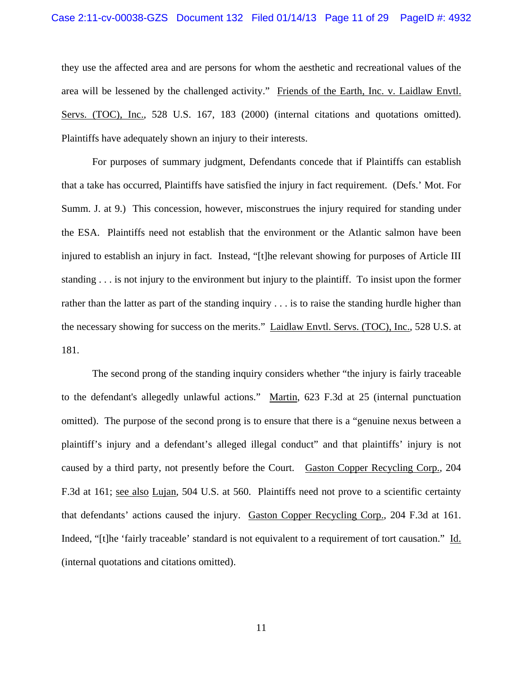they use the affected area and are persons for whom the aesthetic and recreational values of the area will be lessened by the challenged activity." Friends of the Earth, Inc. v. Laidlaw Envtl. Servs. (TOC), Inc., 528 U.S. 167, 183 (2000) (internal citations and quotations omitted). Plaintiffs have adequately shown an injury to their interests.

For purposes of summary judgment, Defendants concede that if Plaintiffs can establish that a take has occurred, Plaintiffs have satisfied the injury in fact requirement. (Defs.' Mot. For Summ. J. at 9.) This concession, however, misconstrues the injury required for standing under the ESA. Plaintiffs need not establish that the environment or the Atlantic salmon have been injured to establish an injury in fact. Instead, "[t]he relevant showing for purposes of Article III standing . . . is not injury to the environment but injury to the plaintiff. To insist upon the former rather than the latter as part of the standing inquiry . . . is to raise the standing hurdle higher than the necessary showing for success on the merits." Laidlaw Envtl. Servs. (TOC), Inc., 528 U.S. at 181.

 The second prong of the standing inquiry considers whether "the injury is fairly traceable to the defendant's allegedly unlawful actions." Martin, 623 F.3d at 25 (internal punctuation omitted). The purpose of the second prong is to ensure that there is a "genuine nexus between a plaintiff's injury and a defendant's alleged illegal conduct" and that plaintiffs' injury is not caused by a third party, not presently before the Court. Gaston Copper Recycling Corp., 204 F.3d at 161; see also Lujan, 504 U.S. at 560. Plaintiffs need not prove to a scientific certainty that defendants' actions caused the injury. Gaston Copper Recycling Corp., 204 F.3d at 161. Indeed, "[t]he 'fairly traceable' standard is not equivalent to a requirement of tort causation." Id. (internal quotations and citations omitted).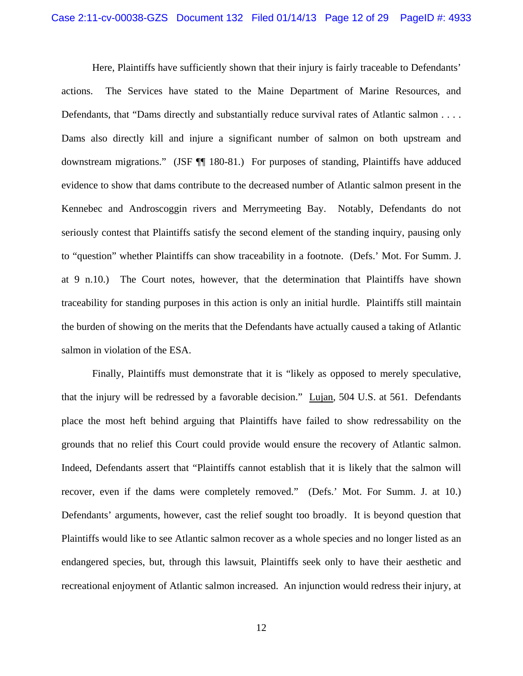Here, Plaintiffs have sufficiently shown that their injury is fairly traceable to Defendants' actions. The Services have stated to the Maine Department of Marine Resources, and Defendants, that "Dams directly and substantially reduce survival rates of Atlantic salmon . . . . Dams also directly kill and injure a significant number of salmon on both upstream and downstream migrations." (JSF ¶¶ 180-81.) For purposes of standing, Plaintiffs have adduced evidence to show that dams contribute to the decreased number of Atlantic salmon present in the Kennebec and Androscoggin rivers and Merrymeeting Bay. Notably, Defendants do not seriously contest that Plaintiffs satisfy the second element of the standing inquiry, pausing only to "question" whether Plaintiffs can show traceability in a footnote. (Defs.' Mot. For Summ. J. at 9 n.10.) The Court notes, however, that the determination that Plaintiffs have shown traceability for standing purposes in this action is only an initial hurdle. Plaintiffs still maintain the burden of showing on the merits that the Defendants have actually caused a taking of Atlantic salmon in violation of the ESA.

Finally, Plaintiffs must demonstrate that it is "likely as opposed to merely speculative, that the injury will be redressed by a favorable decision." Lujan, 504 U.S. at 561. Defendants place the most heft behind arguing that Plaintiffs have failed to show redressability on the grounds that no relief this Court could provide would ensure the recovery of Atlantic salmon. Indeed, Defendants assert that "Plaintiffs cannot establish that it is likely that the salmon will recover, even if the dams were completely removed." (Defs.' Mot. For Summ. J. at 10.) Defendants' arguments, however, cast the relief sought too broadly. It is beyond question that Plaintiffs would like to see Atlantic salmon recover as a whole species and no longer listed as an endangered species, but, through this lawsuit, Plaintiffs seek only to have their aesthetic and recreational enjoyment of Atlantic salmon increased. An injunction would redress their injury, at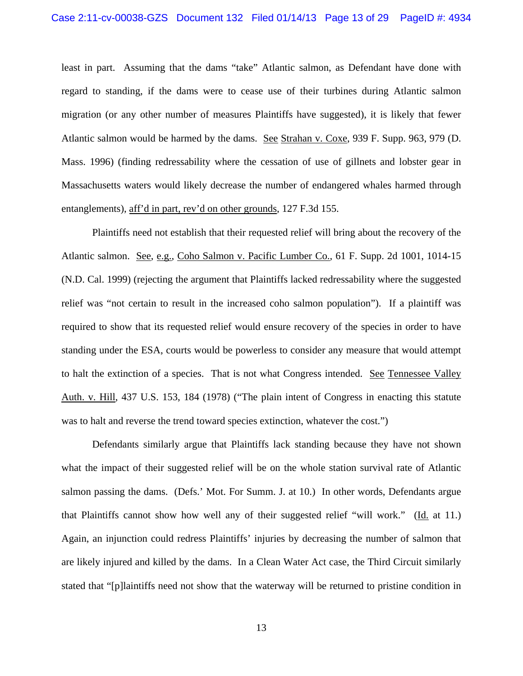least in part. Assuming that the dams "take" Atlantic salmon, as Defendant have done with regard to standing, if the dams were to cease use of their turbines during Atlantic salmon migration (or any other number of measures Plaintiffs have suggested), it is likely that fewer Atlantic salmon would be harmed by the dams. See Strahan v. Coxe, 939 F. Supp. 963, 979 (D. Mass. 1996) (finding redressability where the cessation of use of gillnets and lobster gear in Massachusetts waters would likely decrease the number of endangered whales harmed through entanglements), aff'd in part, rev'd on other grounds, 127 F.3d 155.

Plaintiffs need not establish that their requested relief will bring about the recovery of the Atlantic salmon. See, e.g., Coho Salmon v. Pacific Lumber Co., 61 F. Supp. 2d 1001, 1014-15 (N.D. Cal. 1999) (rejecting the argument that Plaintiffs lacked redressability where the suggested relief was "not certain to result in the increased coho salmon population"). If a plaintiff was required to show that its requested relief would ensure recovery of the species in order to have standing under the ESA, courts would be powerless to consider any measure that would attempt to halt the extinction of a species. That is not what Congress intended. See Tennessee Valley Auth. v. Hill, 437 U.S. 153, 184 (1978) ("The plain intent of Congress in enacting this statute was to halt and reverse the trend toward species extinction, whatever the cost.")

Defendants similarly argue that Plaintiffs lack standing because they have not shown what the impact of their suggested relief will be on the whole station survival rate of Atlantic salmon passing the dams. (Defs.' Mot. For Summ. J. at 10.) In other words, Defendants argue that Plaintiffs cannot show how well any of their suggested relief "will work." (Id. at 11.) Again, an injunction could redress Plaintiffs' injuries by decreasing the number of salmon that are likely injured and killed by the dams. In a Clean Water Act case, the Third Circuit similarly stated that "[p]laintiffs need not show that the waterway will be returned to pristine condition in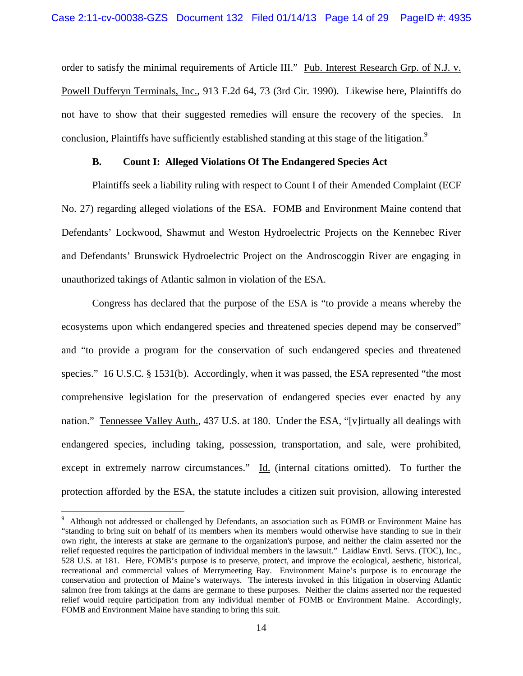order to satisfy the minimal requirements of Article III." Pub. Interest Research Grp. of N.J. v. Powell Dufferyn Terminals, Inc., 913 F.2d 64, 73 (3rd Cir. 1990). Likewise here, Plaintiffs do not have to show that their suggested remedies will ensure the recovery of the species. In conclusion, Plaintiffs have sufficiently established standing at this stage of the litigation.<sup>9</sup>

## **B. Count I: Alleged Violations Of The Endangered Species Act**

 Plaintiffs seek a liability ruling with respect to Count I of their Amended Complaint (ECF No. 27) regarding alleged violations of the ESA. FOMB and Environment Maine contend that Defendants' Lockwood, Shawmut and Weston Hydroelectric Projects on the Kennebec River and Defendants' Brunswick Hydroelectric Project on the Androscoggin River are engaging in unauthorized takings of Atlantic salmon in violation of the ESA.

 Congress has declared that the purpose of the ESA is "to provide a means whereby the ecosystems upon which endangered species and threatened species depend may be conserved" and "to provide a program for the conservation of such endangered species and threatened species." 16 U.S.C. § 1531(b). Accordingly, when it was passed, the ESA represented "the most comprehensive legislation for the preservation of endangered species ever enacted by any nation." Tennessee Valley Auth., 437 U.S. at 180. Under the ESA, "[v]irtually all dealings with endangered species, including taking, possession, transportation, and sale, were prohibited, except in extremely narrow circumstances." Id. (internal citations omitted). To further the protection afforded by the ESA, the statute includes a citizen suit provision, allowing interested

<sup>&</sup>lt;sup>9</sup> Although not addressed or challenged by Defendants, an association such as FOMB or Environment Maine has "standing to bring suit on behalf of its members when its members would otherwise have standing to sue in their own right, the interests at stake are germane to the organization's purpose, and neither the claim asserted nor the relief requested requires the participation of individual members in the lawsuit." Laidlaw Envtl. Servs. (TOC), Inc., 528 U.S. at 181. Here, FOMB's purpose is to preserve, protect, and improve the ecological, aesthetic, historical, recreational and commercial values of Merrymeeting Bay. Environment Maine's purpose is to encourage the conservation and protection of Maine's waterways. The interests invoked in this litigation in observing Atlantic salmon free from takings at the dams are germane to these purposes. Neither the claims asserted nor the requested relief would require participation from any individual member of FOMB or Environment Maine. Accordingly, FOMB and Environment Maine have standing to bring this suit.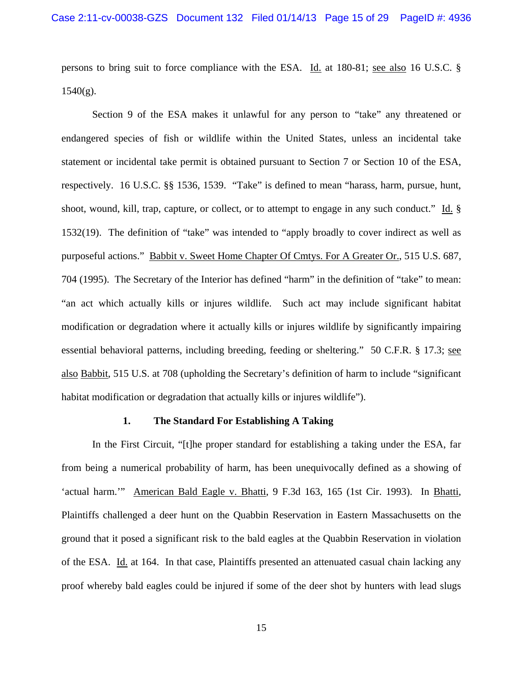persons to bring suit to force compliance with the ESA. Id. at 180-81; see also 16 U.S.C. §  $1540(g)$ .

 Section 9 of the ESA makes it unlawful for any person to "take" any threatened or endangered species of fish or wildlife within the United States, unless an incidental take statement or incidental take permit is obtained pursuant to Section 7 or Section 10 of the ESA, respectively. 16 U.S.C. §§ 1536, 1539. "Take" is defined to mean "harass, harm, pursue, hunt, shoot, wound, kill, trap, capture, or collect, or to attempt to engage in any such conduct." Id. § 1532(19). The definition of "take" was intended to "apply broadly to cover indirect as well as purposeful actions." Babbit v. Sweet Home Chapter Of Cmtys. For A Greater Or., 515 U.S. 687, 704 (1995). The Secretary of the Interior has defined "harm" in the definition of "take" to mean: "an act which actually kills or injures wildlife. Such act may include significant habitat modification or degradation where it actually kills or injures wildlife by significantly impairing essential behavioral patterns, including breeding, feeding or sheltering." 50 C.F.R. § 17.3; see also Babbit, 515 U.S. at 708 (upholding the Secretary's definition of harm to include "significant habitat modification or degradation that actually kills or injures wildlife").

### **1. The Standard For Establishing A Taking**

 In the First Circuit, "[t]he proper standard for establishing a taking under the ESA, far from being a numerical probability of harm, has been unequivocally defined as a showing of 'actual harm.'" American Bald Eagle v. Bhatti, 9 F.3d 163, 165 (1st Cir. 1993). In Bhatti, Plaintiffs challenged a deer hunt on the Quabbin Reservation in Eastern Massachusetts on the ground that it posed a significant risk to the bald eagles at the Quabbin Reservation in violation of the ESA. Id. at 164. In that case, Plaintiffs presented an attenuated casual chain lacking any proof whereby bald eagles could be injured if some of the deer shot by hunters with lead slugs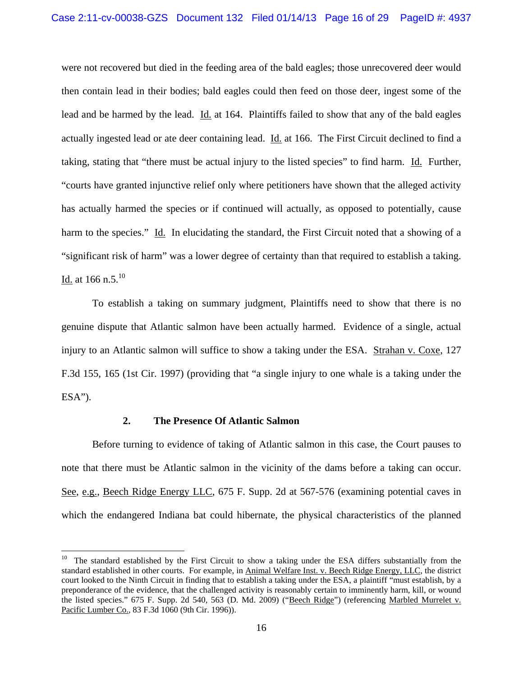were not recovered but died in the feeding area of the bald eagles; those unrecovered deer would then contain lead in their bodies; bald eagles could then feed on those deer, ingest some of the lead and be harmed by the lead. Id. at 164. Plaintiffs failed to show that any of the bald eagles actually ingested lead or ate deer containing lead. Id. at 166. The First Circuit declined to find a taking, stating that "there must be actual injury to the listed species" to find harm. Id. Further, "courts have granted injunctive relief only where petitioners have shown that the alleged activity has actually harmed the species or if continued will actually, as opposed to potentially, cause harm to the species." Id. In elucidating the standard, the First Circuit noted that a showing of a "significant risk of harm" was a lower degree of certainty than that required to establish a taking. Id. at 166 n.5. $^{10}$ 

 To establish a taking on summary judgment, Plaintiffs need to show that there is no genuine dispute that Atlantic salmon have been actually harmed. Evidence of a single, actual injury to an Atlantic salmon will suffice to show a taking under the ESA. Strahan v. Coxe, 127 F.3d 155, 165 (1st Cir. 1997) (providing that "a single injury to one whale is a taking under the  $ESA$ ").

# **2. The Presence Of Atlantic Salmon**

Before turning to evidence of taking of Atlantic salmon in this case, the Court pauses to note that there must be Atlantic salmon in the vicinity of the dams before a taking can occur. See, e.g., Beech Ridge Energy LLC, 675 F. Supp. 2d at 567-576 (examining potential caves in which the endangered Indiana bat could hibernate, the physical characteristics of the planned

<sup>&</sup>lt;sup>10</sup> The standard established by the First Circuit to show a taking under the ESA differs substantially from the standard established in other courts. For example, in Animal Welfare Inst. v. Beech Ridge Energy, LLC, the district court looked to the Ninth Circuit in finding that to establish a taking under the ESA, a plaintiff "must establish, by a preponderance of the evidence, that the challenged activity is reasonably certain to imminently harm, kill, or wound the listed species." 675 F. Supp. 2d 540, 563 (D. Md. 2009) ("Beech Ridge") (referencing Marbled Murrelet v. Pacific Lumber Co., 83 F.3d 1060 (9th Cir. 1996)).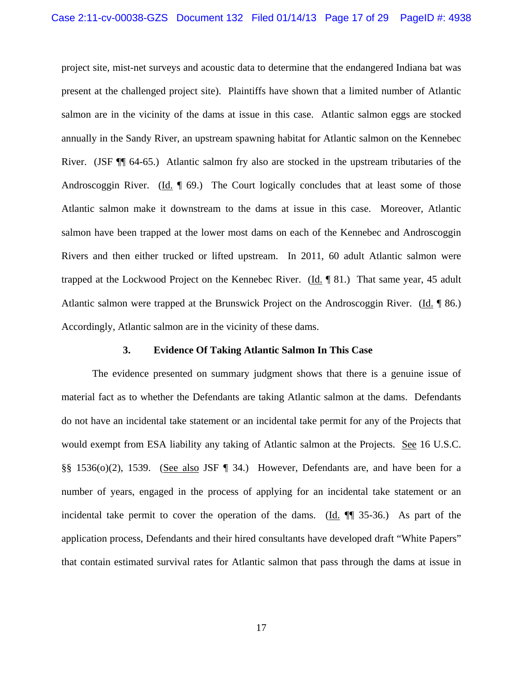project site, mist-net surveys and acoustic data to determine that the endangered Indiana bat was present at the challenged project site). Plaintiffs have shown that a limited number of Atlantic salmon are in the vicinity of the dams at issue in this case. Atlantic salmon eggs are stocked annually in the Sandy River, an upstream spawning habitat for Atlantic salmon on the Kennebec River. (JSF ¶¶ 64-65.) Atlantic salmon fry also are stocked in the upstream tributaries of the Androscoggin River. (Id.  $\parallel$  69.) The Court logically concludes that at least some of those Atlantic salmon make it downstream to the dams at issue in this case. Moreover, Atlantic salmon have been trapped at the lower most dams on each of the Kennebec and Androscoggin Rivers and then either trucked or lifted upstream. In 2011, 60 adult Atlantic salmon were trapped at the Lockwood Project on the Kennebec River.  $(Id. \P 81.)$  That same year, 45 adult Atlantic salmon were trapped at the Brunswick Project on the Androscoggin River. (Id. ¶ 86.) Accordingly, Atlantic salmon are in the vicinity of these dams.

#### **3. Evidence Of Taking Atlantic Salmon In This Case**

 The evidence presented on summary judgment shows that there is a genuine issue of material fact as to whether the Defendants are taking Atlantic salmon at the dams. Defendants do not have an incidental take statement or an incidental take permit for any of the Projects that would exempt from ESA liability any taking of Atlantic salmon at the Projects. See 16 U.S.C. §§ 1536(o)(2), 1539. (See also JSF ¶ 34.) However, Defendants are, and have been for a number of years, engaged in the process of applying for an incidental take statement or an incidental take permit to cover the operation of the dams. (Id. ¶¶ 35-36.) As part of the application process, Defendants and their hired consultants have developed draft "White Papers" that contain estimated survival rates for Atlantic salmon that pass through the dams at issue in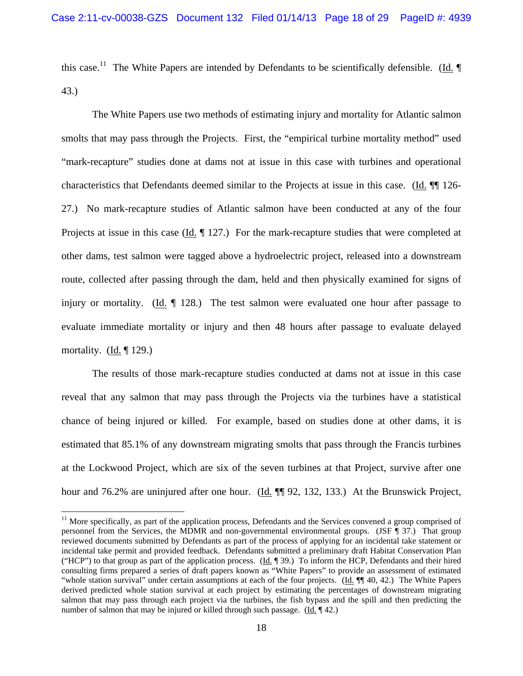this case.<sup>11</sup> The White Papers are intended by Defendants to be scientifically defensible. (Id.  $\P$ 43.)

 The White Papers use two methods of estimating injury and mortality for Atlantic salmon smolts that may pass through the Projects. First, the "empirical turbine mortality method" used "mark-recapture" studies done at dams not at issue in this case with turbines and operational characteristics that Defendants deemed similar to the Projects at issue in this case. (Id. ¶¶ 126- 27.) No mark-recapture studies of Atlantic salmon have been conducted at any of the four Projects at issue in this case (Id.  $\parallel$  127.) For the mark-recapture studies that were completed at other dams, test salmon were tagged above a hydroelectric project, released into a downstream route, collected after passing through the dam, held and then physically examined for signs of injury or mortality.  $(Id. \parallel 128.)$  The test salmon were evaluated one hour after passage to evaluate immediate mortality or injury and then 48 hours after passage to evaluate delayed mortality. (Id.  $\P$  129.)

The results of those mark-recapture studies conducted at dams not at issue in this case reveal that any salmon that may pass through the Projects via the turbines have a statistical chance of being injured or killed. For example, based on studies done at other dams, it is estimated that 85.1% of any downstream migrating smolts that pass through the Francis turbines at the Lockwood Project, which are six of the seven turbines at that Project, survive after one hour and 76.2% are uninjured after one hour. (Id. ¶¶ 92, 132, 133.) At the Brunswick Project,

 $11$  More specifically, as part of the application process, Defendants and the Services convened a group comprised of personnel from the Services, the MDMR and non-governmental environmental groups. (JSF ¶ 37.) That group reviewed documents submitted by Defendants as part of the process of applying for an incidental take statement or incidental take permit and provided feedback. Defendants submitted a preliminary draft Habitat Conservation Plan ("HCP") to that group as part of the application process. (Id. ¶ 39.) To inform the HCP, Defendants and their hired consulting firms prepared a series of draft papers known as "White Papers" to provide an assessment of estimated "whole station survival" under certain assumptions at each of the four projects. (Id. ¶¶ 40, 42.) The White Papers derived predicted whole station survival at each project by estimating the percentages of downstream migrating salmon that may pass through each project via the turbines, the fish bypass and the spill and then predicting the number of salmon that may be injured or killed through such passage. (Id. 142.)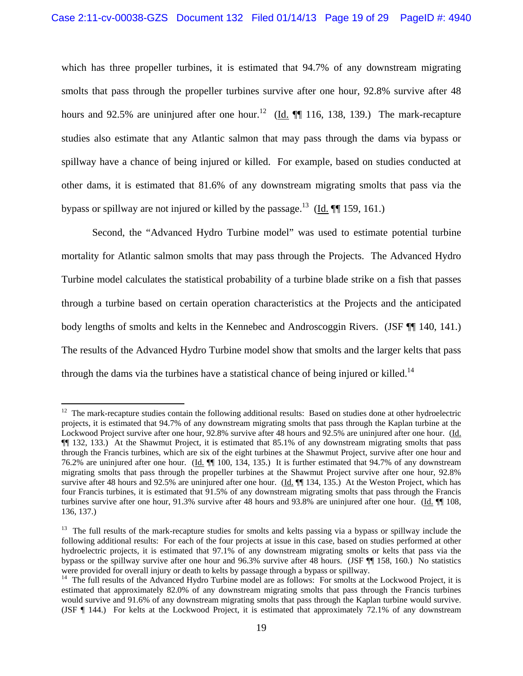which has three propeller turbines, it is estimated that 94.7% of any downstream migrating smolts that pass through the propeller turbines survive after one hour, 92.8% survive after 48 hours and 92.5% are uninjured after one hour.<sup>12</sup> (Id.  $\P$  116, 138, 139.) The mark-recapture studies also estimate that any Atlantic salmon that may pass through the dams via bypass or spillway have a chance of being injured or killed. For example, based on studies conducted at other dams, it is estimated that 81.6% of any downstream migrating smolts that pass via the bypass or spillway are not injured or killed by the passage.<sup>13</sup> (Id.  $\P$  159, 161.)

 Second, the "Advanced Hydro Turbine model" was used to estimate potential turbine mortality for Atlantic salmon smolts that may pass through the Projects. The Advanced Hydro Turbine model calculates the statistical probability of a turbine blade strike on a fish that passes through a turbine based on certain operation characteristics at the Projects and the anticipated body lengths of smolts and kelts in the Kennebec and Androscoggin Rivers. (JSF ¶¶ 140, 141.) The results of the Advanced Hydro Turbine model show that smolts and the larger kelts that pass through the dams via the turbines have a statistical chance of being injured or killed.<sup>14</sup>

 $12$  The mark-recapture studies contain the following additional results: Based on studies done at other hydroelectric projects, it is estimated that 94.7% of any downstream migrating smolts that pass through the Kaplan turbine at the Lockwood Project survive after one hour, 92.8% survive after 48 hours and 92.5% are uninjured after one hour. (Id. ¶¶ 132, 133.) At the Shawmut Project, it is estimated that 85.1% of any downstream migrating smolts that pass through the Francis turbines, which are six of the eight turbines at the Shawmut Project, survive after one hour and 76.2% are uninjured after one hour. (Id. ¶¶ 100, 134, 135.) It is further estimated that 94.7% of any downstream migrating smolts that pass through the propeller turbines at the Shawmut Project survive after one hour, 92.8% survive after 48 hours and 92.5% are uninjured after one hour. (Id.  $\P$  134, 135.) At the Weston Project, which has four Francis turbines, it is estimated that 91.5% of any downstream migrating smolts that pass through the Francis turbines survive after one hour, 91.3% survive after 48 hours and 93.8% are uninjured after one hour. (Id. ¶ 108, 136, 137.)

<sup>&</sup>lt;sup>13</sup> The full results of the mark-recapture studies for smolts and kelts passing via a bypass or spillway include the following additional results: For each of the four projects at issue in this case, based on studies performed at other hydroelectric projects, it is estimated that 97.1% of any downstream migrating smolts or kelts that pass via the bypass or the spillway survive after one hour and 96.3% survive after 48 hours. (JSF ¶¶ 158, 160.) No statistics were provided for overall injury or death to kelts by passage through a bypass or spillway.<br><sup>14</sup> The full results of the Advanced Hydro Turbine model are as follows: For smolts at the Lockwood Project, it is

estimated that approximately 82.0% of any downstream migrating smolts that pass through the Francis turbines would survive and 91.6% of any downstream migrating smolts that pass through the Kaplan turbine would survive. (JSF ¶ 144.) For kelts at the Lockwood Project, it is estimated that approximately 72.1% of any downstream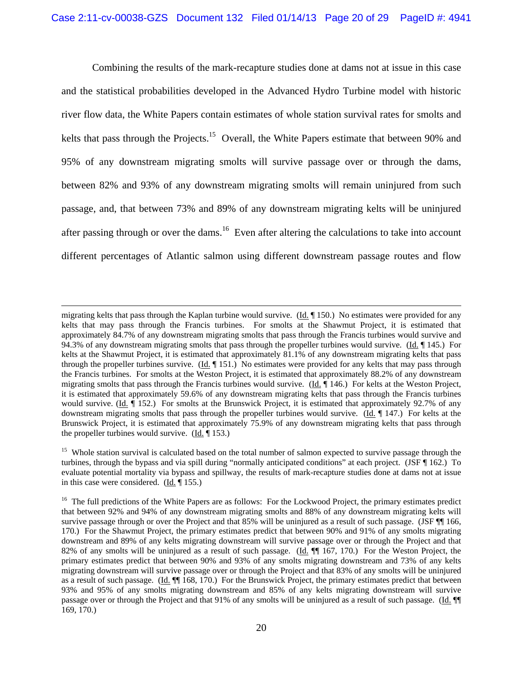Combining the results of the mark-recapture studies done at dams not at issue in this case and the statistical probabilities developed in the Advanced Hydro Turbine model with historic river flow data, the White Papers contain estimates of whole station survival rates for smolts and kelts that pass through the Projects.<sup>15</sup> Overall, the White Papers estimate that between 90% and 95% of any downstream migrating smolts will survive passage over or through the dams, between 82% and 93% of any downstream migrating smolts will remain uninjured from such passage, and, that between 73% and 89% of any downstream migrating kelts will be uninjured after passing through or over the dams.<sup>16</sup> Even after altering the calculations to take into account different percentages of Atlantic salmon using different downstream passage routes and flow

<u> 1989 - Johann Stein, marwolaethau a gweledydd a ganlad y ganlad y ganlad y ganlad y ganlad y ganlad y ganlad</u>

migrating kelts that pass through the Kaplan turbine would survive.  $(\underline{Id}, \P 150)$ . No estimates were provided for any kelts that may pass through the Francis turbines. For smolts at the Shawmut Project, it is estimated that approximately 84.7% of any downstream migrating smolts that pass through the Francis turbines would survive and 94.3% of any downstream migrating smolts that pass through the propeller turbines would survive. (Id. ¶ 145.) For kelts at the Shawmut Project, it is estimated that approximately 81.1% of any downstream migrating kelts that pass through the propeller turbines survive. (Id. ¶ 151.) No estimates were provided for any kelts that may pass through the Francis turbines. For smolts at the Weston Project, it is estimated that approximately 88.2% of any downstream migrating smolts that pass through the Francis turbines would survive. (Id.  $\P$  146.) For kelts at the Weston Project, it is estimated that approximately 59.6% of any downstream migrating kelts that pass through the Francis turbines would survive. (Id.  $\P$  152.) For smolts at the Brunswick Project, it is estimated that approximately 92.7% of any downstream migrating smolts that pass through the propeller turbines would survive. (Id.  $\parallel$  147.) For kelts at the Brunswick Project, it is estimated that approximately 75.9% of any downstream migrating kelts that pass through the propeller turbines would survive. (Id. ¶ 153.)

<sup>&</sup>lt;sup>15</sup> Whole station survival is calculated based on the total number of salmon expected to survive passage through the turbines, through the bypass and via spill during "normally anticipated conditions" at each project. (JSF ¶ 162.) To evaluate potential mortality via bypass and spillway, the results of mark-recapture studies done at dams not at issue in this case were considered. (Id. ¶ 155.)

<sup>&</sup>lt;sup>16</sup> The full predictions of the White Papers are as follows: For the Lockwood Project, the primary estimates predict that between 92% and 94% of any downstream migrating smolts and 88% of any downstream migrating kelts will survive passage through or over the Project and that 85% will be uninjured as a result of such passage. (JSF  $\P$  166, 170.) For the Shawmut Project, the primary estimates predict that between 90% and 91% of any smolts migrating downstream and 89% of any kelts migrating downstream will survive passage over or through the Project and that 82% of any smolts will be uninjured as a result of such passage. (Id.  $\P$  167, 170.) For the Weston Project, the primary estimates predict that between 90% and 93% of any smolts migrating downstream and 73% of any kelts migrating downstream will survive passage over or through the Project and that 83% of any smolts will be uninjured as a result of such passage. (Id. ¶¶ 168, 170.) For the Brunswick Project, the primary estimates predict that between 93% and 95% of any smolts migrating downstream and 85% of any kelts migrating downstream will survive passage over or through the Project and that 91% of any smolts will be uninjured as a result of such passage. (Id. ¶¶ 169, 170.)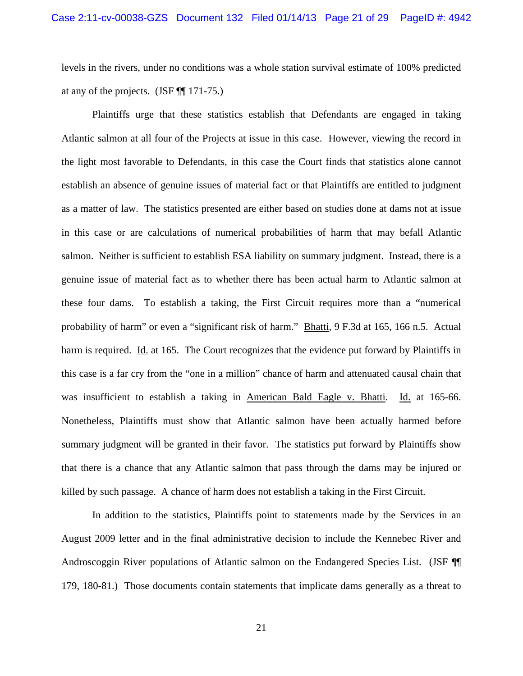levels in the rivers, under no conditions was a whole station survival estimate of 100% predicted at any of the projects. (JSF ¶¶ 171-75.)

 Plaintiffs urge that these statistics establish that Defendants are engaged in taking Atlantic salmon at all four of the Projects at issue in this case. However, viewing the record in the light most favorable to Defendants, in this case the Court finds that statistics alone cannot establish an absence of genuine issues of material fact or that Plaintiffs are entitled to judgment as a matter of law. The statistics presented are either based on studies done at dams not at issue in this case or are calculations of numerical probabilities of harm that may befall Atlantic salmon. Neither is sufficient to establish ESA liability on summary judgment. Instead, there is a genuine issue of material fact as to whether there has been actual harm to Atlantic salmon at these four dams. To establish a taking, the First Circuit requires more than a "numerical probability of harm" or even a "significant risk of harm." Bhatti, 9 F.3d at 165, 166 n.5. Actual harm is required. Id. at 165. The Court recognizes that the evidence put forward by Plaintiffs in this case is a far cry from the "one in a million" chance of harm and attenuated causal chain that was insufficient to establish a taking in American Bald Eagle v. Bhatti. Id. at 165-66. Nonetheless, Plaintiffs must show that Atlantic salmon have been actually harmed before summary judgment will be granted in their favor. The statistics put forward by Plaintiffs show that there is a chance that any Atlantic salmon that pass through the dams may be injured or killed by such passage. A chance of harm does not establish a taking in the First Circuit.

In addition to the statistics, Plaintiffs point to statements made by the Services in an August 2009 letter and in the final administrative decision to include the Kennebec River and Androscoggin River populations of Atlantic salmon on the Endangered Species List. (JSF ¶¶ 179, 180-81.) Those documents contain statements that implicate dams generally as a threat to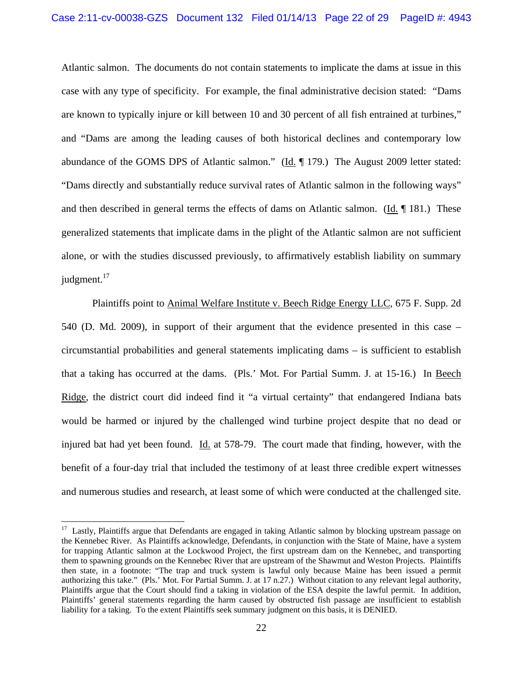Atlantic salmon. The documents do not contain statements to implicate the dams at issue in this case with any type of specificity. For example, the final administrative decision stated: "Dams are known to typically injure or kill between 10 and 30 percent of all fish entrained at turbines," and "Dams are among the leading causes of both historical declines and contemporary low abundance of the GOMS DPS of Atlantic salmon." (Id. ¶ 179.) The August 2009 letter stated: "Dams directly and substantially reduce survival rates of Atlantic salmon in the following ways" and then described in general terms the effects of dams on Atlantic salmon. (Id. ¶ 181.) These generalized statements that implicate dams in the plight of the Atlantic salmon are not sufficient alone, or with the studies discussed previously, to affirmatively establish liability on summary judgment.<sup>17</sup>

Plaintiffs point to Animal Welfare Institute v. Beech Ridge Energy LLC, 675 F. Supp. 2d 540 (D. Md. 2009), in support of their argument that the evidence presented in this case – circumstantial probabilities and general statements implicating dams – is sufficient to establish that a taking has occurred at the dams. (Pls.' Mot. For Partial Summ. J. at 15-16.) In Beech Ridge, the district court did indeed find it "a virtual certainty" that endangered Indiana bats would be harmed or injured by the challenged wind turbine project despite that no dead or injured bat had yet been found. Id. at 578-79. The court made that finding, however, with the benefit of a four-day trial that included the testimony of at least three credible expert witnesses and numerous studies and research, at least some of which were conducted at the challenged site.

 $17$  Lastly, Plaintiffs argue that Defendants are engaged in taking Atlantic salmon by blocking upstream passage on the Kennebec River. As Plaintiffs acknowledge, Defendants, in conjunction with the State of Maine, have a system for trapping Atlantic salmon at the Lockwood Project, the first upstream dam on the Kennebec, and transporting them to spawning grounds on the Kennebec River that are upstream of the Shawmut and Weston Projects. Plaintiffs then state, in a footnote: "The trap and truck system is lawful only because Maine has been issued a permit authorizing this take." (Pls.' Mot. For Partial Summ. J. at 17 n.27.) Without citation to any relevant legal authority, Plaintiffs argue that the Court should find a taking in violation of the ESA despite the lawful permit. In addition, Plaintiffs' general statements regarding the harm caused by obstructed fish passage are insufficient to establish liability for a taking. To the extent Plaintiffs seek summary judgment on this basis, it is DENIED.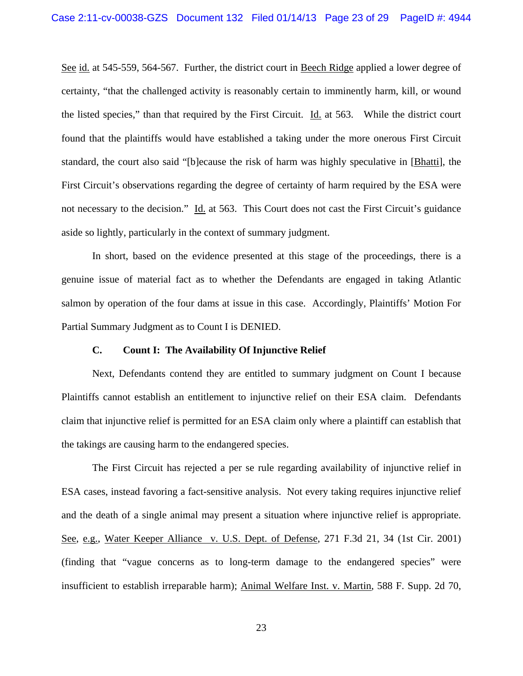See id. at 545-559, 564-567. Further, the district court in Beech Ridge applied a lower degree of certainty, "that the challenged activity is reasonably certain to imminently harm, kill, or wound the listed species," than that required by the First Circuit. Id. at 563. While the district court found that the plaintiffs would have established a taking under the more onerous First Circuit standard, the court also said "[b]ecause the risk of harm was highly speculative in [Bhatti], the First Circuit's observations regarding the degree of certainty of harm required by the ESA were not necessary to the decision." Id. at 563. This Court does not cast the First Circuit's guidance aside so lightly, particularly in the context of summary judgment.

In short, based on the evidence presented at this stage of the proceedings, there is a genuine issue of material fact as to whether the Defendants are engaged in taking Atlantic salmon by operation of the four dams at issue in this case. Accordingly, Plaintiffs' Motion For Partial Summary Judgment as to Count I is DENIED.

### **C. Count I: The Availability Of Injunctive Relief**

 Next, Defendants contend they are entitled to summary judgment on Count I because Plaintiffs cannot establish an entitlement to injunctive relief on their ESA claim. Defendants claim that injunctive relief is permitted for an ESA claim only where a plaintiff can establish that the takings are causing harm to the endangered species.

 The First Circuit has rejected a per se rule regarding availability of injunctive relief in ESA cases, instead favoring a fact-sensitive analysis. Not every taking requires injunctive relief and the death of a single animal may present a situation where injunctive relief is appropriate. See, e.g., Water Keeper Alliance v. U.S. Dept. of Defense, 271 F.3d 21, 34 (1st Cir. 2001) (finding that "vague concerns as to long-term damage to the endangered species" were insufficient to establish irreparable harm); Animal Welfare Inst. v. Martin, 588 F. Supp. 2d 70,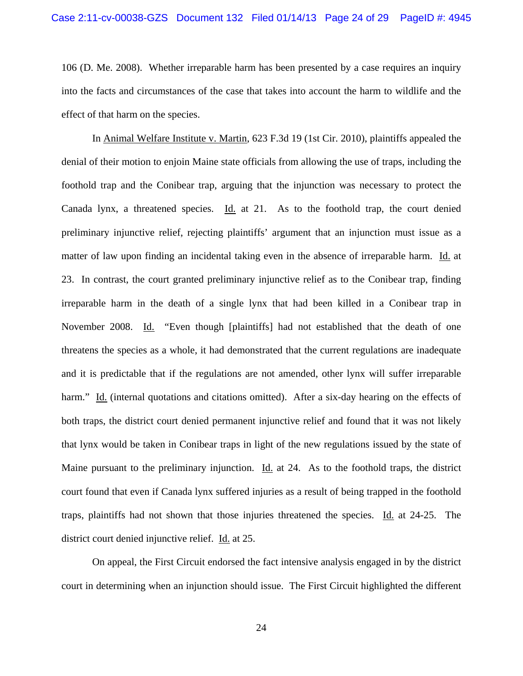106 (D. Me. 2008). Whether irreparable harm has been presented by a case requires an inquiry into the facts and circumstances of the case that takes into account the harm to wildlife and the effect of that harm on the species.

 In Animal Welfare Institute v. Martin, 623 F.3d 19 (1st Cir. 2010), plaintiffs appealed the denial of their motion to enjoin Maine state officials from allowing the use of traps, including the foothold trap and the Conibear trap, arguing that the injunction was necessary to protect the Canada lynx, a threatened species. Id. at 21. As to the foothold trap, the court denied preliminary injunctive relief, rejecting plaintiffs' argument that an injunction must issue as a matter of law upon finding an incidental taking even in the absence of irreparable harm. Id. at 23. In contrast, the court granted preliminary injunctive relief as to the Conibear trap, finding irreparable harm in the death of a single lynx that had been killed in a Conibear trap in November 2008. Id. "Even though [plaintiffs] had not established that the death of one threatens the species as a whole, it had demonstrated that the current regulations are inadequate and it is predictable that if the regulations are not amended, other lynx will suffer irreparable harm." Id. (internal quotations and citations omitted). After a six-day hearing on the effects of both traps, the district court denied permanent injunctive relief and found that it was not likely that lynx would be taken in Conibear traps in light of the new regulations issued by the state of Maine pursuant to the preliminary injunction. Id. at 24. As to the foothold traps, the district court found that even if Canada lynx suffered injuries as a result of being trapped in the foothold traps, plaintiffs had not shown that those injuries threatened the species. Id. at 24-25. The district court denied injunctive relief. Id. at 25.

 On appeal, the First Circuit endorsed the fact intensive analysis engaged in by the district court in determining when an injunction should issue. The First Circuit highlighted the different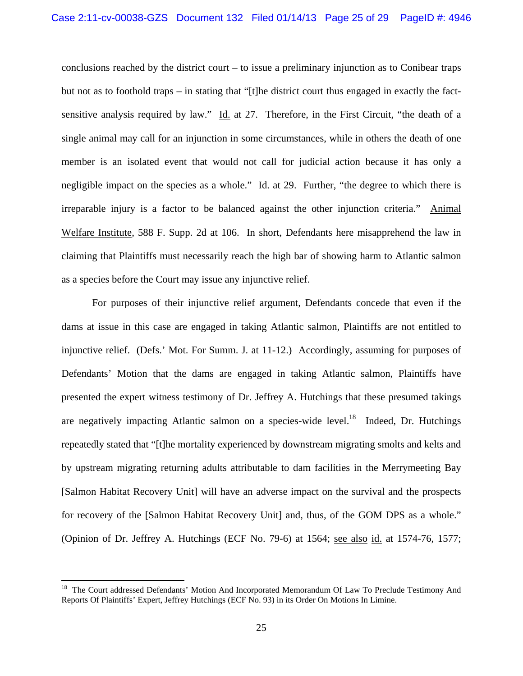conclusions reached by the district court – to issue a preliminary injunction as to Conibear traps but not as to foothold traps – in stating that "[t]he district court thus engaged in exactly the factsensitive analysis required by law." Id. at 27. Therefore, in the First Circuit, "the death of a single animal may call for an injunction in some circumstances, while in others the death of one member is an isolated event that would not call for judicial action because it has only a negligible impact on the species as a whole."  $\underline{Id}$  at 29. Further, "the degree to which there is irreparable injury is a factor to be balanced against the other injunction criteria." Animal Welfare Institute, 588 F. Supp. 2d at 106. In short, Defendants here misapprehend the law in claiming that Plaintiffs must necessarily reach the high bar of showing harm to Atlantic salmon as a species before the Court may issue any injunctive relief.

 For purposes of their injunctive relief argument, Defendants concede that even if the dams at issue in this case are engaged in taking Atlantic salmon, Plaintiffs are not entitled to injunctive relief. (Defs.' Mot. For Summ. J. at 11-12.) Accordingly, assuming for purposes of Defendants' Motion that the dams are engaged in taking Atlantic salmon, Plaintiffs have presented the expert witness testimony of Dr. Jeffrey A. Hutchings that these presumed takings are negatively impacting Atlantic salmon on a species-wide level.<sup>18</sup> Indeed, Dr. Hutchings repeatedly stated that "[t]he mortality experienced by downstream migrating smolts and kelts and by upstream migrating returning adults attributable to dam facilities in the Merrymeeting Bay [Salmon Habitat Recovery Unit] will have an adverse impact on the survival and the prospects for recovery of the [Salmon Habitat Recovery Unit] and, thus, of the GOM DPS as a whole." (Opinion of Dr. Jeffrey A. Hutchings (ECF No. 79-6) at 1564; see also id. at 1574-76, 1577;

<sup>&</sup>lt;sup>18</sup> The Court addressed Defendants' Motion And Incorporated Memorandum Of Law To Preclude Testimony And Reports Of Plaintiffs' Expert, Jeffrey Hutchings (ECF No. 93) in its Order On Motions In Limine.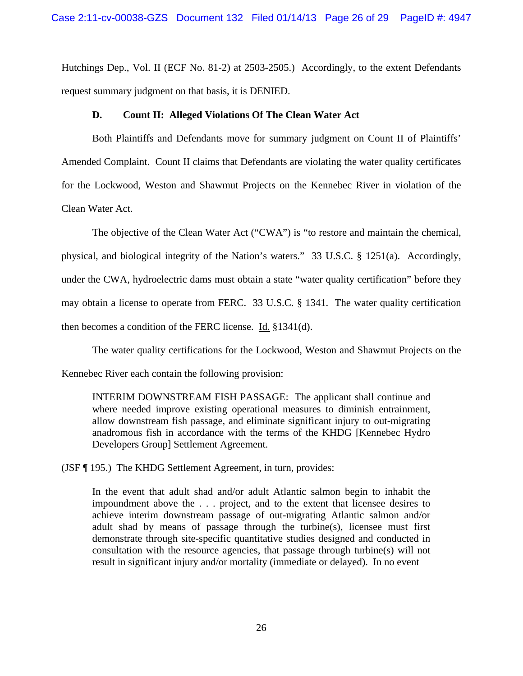Hutchings Dep., Vol. II (ECF No. 81-2) at 2503-2505.) Accordingly, to the extent Defendants request summary judgment on that basis, it is DENIED.

# **D. Count II: Alleged Violations Of The Clean Water Act**

 Both Plaintiffs and Defendants move for summary judgment on Count II of Plaintiffs' Amended Complaint. Count II claims that Defendants are violating the water quality certificates for the Lockwood, Weston and Shawmut Projects on the Kennebec River in violation of the Clean Water Act.

 The objective of the Clean Water Act ("CWA") is "to restore and maintain the chemical, physical, and biological integrity of the Nation's waters." 33 U.S.C. § 1251(a). Accordingly, under the CWA, hydroelectric dams must obtain a state "water quality certification" before they may obtain a license to operate from FERC. 33 U.S.C. § 1341. The water quality certification then becomes a condition of the FERC license. Id. §1341(d).

 The water quality certifications for the Lockwood, Weston and Shawmut Projects on the Kennebec River each contain the following provision:

INTERIM DOWNSTREAM FISH PASSAGE: The applicant shall continue and where needed improve existing operational measures to diminish entrainment, allow downstream fish passage, and eliminate significant injury to out-migrating anadromous fish in accordance with the terms of the KHDG [Kennebec Hydro Developers Group] Settlement Agreement.

(JSF ¶ 195.) The KHDG Settlement Agreement, in turn, provides:

In the event that adult shad and/or adult Atlantic salmon begin to inhabit the impoundment above the . . . project, and to the extent that licensee desires to achieve interim downstream passage of out-migrating Atlantic salmon and/or adult shad by means of passage through the turbine(s), licensee must first demonstrate through site-specific quantitative studies designed and conducted in consultation with the resource agencies, that passage through turbine(s) will not result in significant injury and/or mortality (immediate or delayed). In no event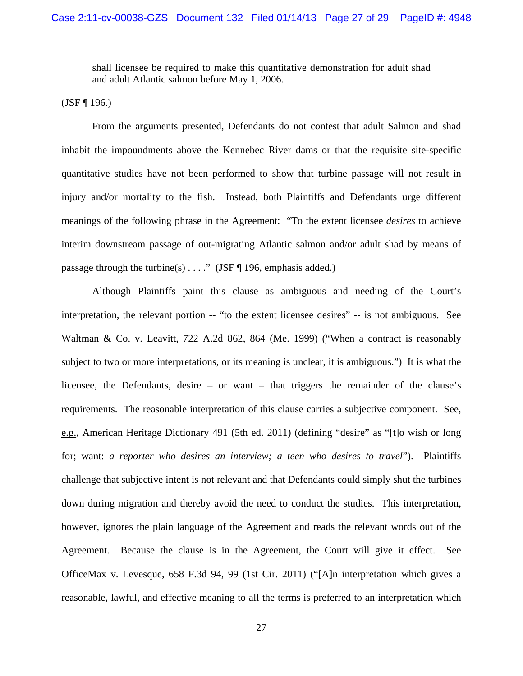shall licensee be required to make this quantitative demonstration for adult shad and adult Atlantic salmon before May 1, 2006.

 $(JSF \, \P \, 196.)$ 

 From the arguments presented, Defendants do not contest that adult Salmon and shad inhabit the impoundments above the Kennebec River dams or that the requisite site-specific quantitative studies have not been performed to show that turbine passage will not result in injury and/or mortality to the fish. Instead, both Plaintiffs and Defendants urge different meanings of the following phrase in the Agreement: "To the extent licensee *desires* to achieve interim downstream passage of out-migrating Atlantic salmon and/or adult shad by means of passage through the turbine(s)  $\dots$  " (JSF ¶ 196, emphasis added.)

 Although Plaintiffs paint this clause as ambiguous and needing of the Court's interpretation, the relevant portion -- "to the extent licensee desires" -- is not ambiguous. See Waltman & Co. v. Leavitt, 722 A.2d 862, 864 (Me. 1999) ("When a contract is reasonably subject to two or more interpretations, or its meaning is unclear, it is ambiguous.") It is what the licensee, the Defendants, desire – or want – that triggers the remainder of the clause's requirements. The reasonable interpretation of this clause carries a subjective component. See, e.g., American Heritage Dictionary 491 (5th ed. 2011) (defining "desire" as "[t]o wish or long for; want: *a reporter who desires an interview; a teen who desires to travel*"). Plaintiffs challenge that subjective intent is not relevant and that Defendants could simply shut the turbines down during migration and thereby avoid the need to conduct the studies. This interpretation, however, ignores the plain language of the Agreement and reads the relevant words out of the Agreement. Because the clause is in the Agreement, the Court will give it effect. See OfficeMax v. Levesque, 658 F.3d 94, 99 (1st Cir. 2011) ("[A]n interpretation which gives a reasonable, lawful, and effective meaning to all the terms is preferred to an interpretation which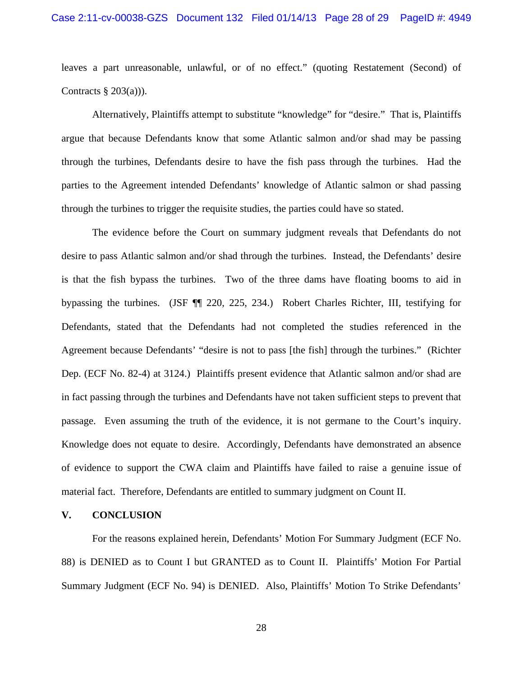leaves a part unreasonable, unlawful, or of no effect." (quoting Restatement (Second) of Contracts  $\S$  203(a))).

 Alternatively, Plaintiffs attempt to substitute "knowledge" for "desire." That is, Plaintiffs argue that because Defendants know that some Atlantic salmon and/or shad may be passing through the turbines, Defendants desire to have the fish pass through the turbines. Had the parties to the Agreement intended Defendants' knowledge of Atlantic salmon or shad passing through the turbines to trigger the requisite studies, the parties could have so stated.

 The evidence before the Court on summary judgment reveals that Defendants do not desire to pass Atlantic salmon and/or shad through the turbines. Instead, the Defendants' desire is that the fish bypass the turbines. Two of the three dams have floating booms to aid in bypassing the turbines. (JSF ¶¶ 220, 225, 234.) Robert Charles Richter, III, testifying for Defendants, stated that the Defendants had not completed the studies referenced in the Agreement because Defendants' "desire is not to pass [the fish] through the turbines." (Richter Dep. (ECF No. 82-4) at 3124.) Plaintiffs present evidence that Atlantic salmon and/or shad are in fact passing through the turbines and Defendants have not taken sufficient steps to prevent that passage. Even assuming the truth of the evidence, it is not germane to the Court's inquiry. Knowledge does not equate to desire. Accordingly, Defendants have demonstrated an absence of evidence to support the CWA claim and Plaintiffs have failed to raise a genuine issue of material fact. Therefore, Defendants are entitled to summary judgment on Count II.

### **V. CONCLUSION**

 For the reasons explained herein, Defendants' Motion For Summary Judgment (ECF No. 88) is DENIED as to Count I but GRANTED as to Count II. Plaintiffs' Motion For Partial Summary Judgment (ECF No. 94) is DENIED. Also, Plaintiffs' Motion To Strike Defendants'